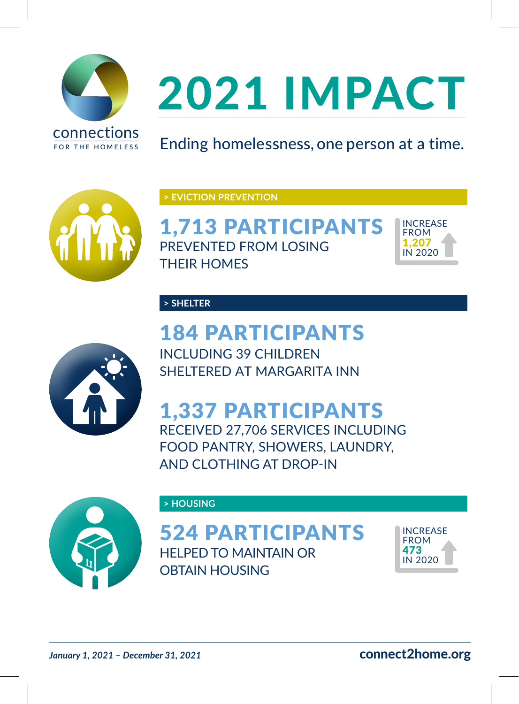

## 2021 IMPACT

Ending homelessness, one person at a time.



**> EVICTION PREVENTION**

1,713 PARTICIPANTS PREVENTED FROM LOSING THEIR HOMES



**> SHELTER**

184 PARTICIPANTS INCLUDING 39 CHILDREN SHELTERED AT MARGARITA INN



1,337 PARTICIPANTS RECEIVED 27,706 SERVICES INCLUDING FOOD PANTRY, SHOWERS, LAUNDRY, AND CLOTHING AT DROP-IN



**> HOUSING**

524 PARTICIPANTS HELPED TO MAINTAIN OR OBTAIN HOUSING